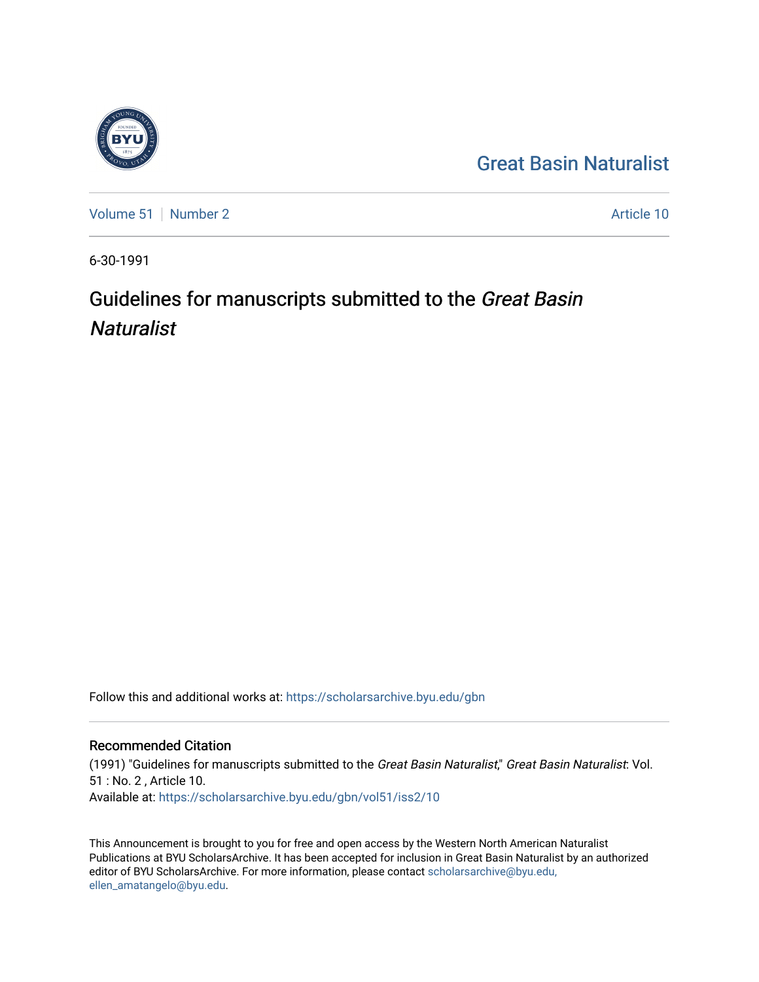

[Volume 51](https://scholarsarchive.byu.edu/gbn/vol51) [Number 2](https://scholarsarchive.byu.edu/gbn/vol51/iss2) Article 10

6-30-1991

# Guidelines for manuscripts submitted to the Great Basin **Naturalist**

Follow this and additional works at: [https://scholarsarchive.byu.edu/gbn](https://scholarsarchive.byu.edu/gbn?utm_source=scholarsarchive.byu.edu%2Fgbn%2Fvol51%2Fiss2%2F10&utm_medium=PDF&utm_campaign=PDFCoverPages) 

### Recommended Citation

(1991) "Guidelines for manuscripts submitted to the Great Basin Naturalist," Great Basin Naturalist: Vol. 51 : No. 2 , Article 10. Available at: [https://scholarsarchive.byu.edu/gbn/vol51/iss2/10](https://scholarsarchive.byu.edu/gbn/vol51/iss2/10?utm_source=scholarsarchive.byu.edu%2Fgbn%2Fvol51%2Fiss2%2F10&utm_medium=PDF&utm_campaign=PDFCoverPages) 

This Announcement is brought to you for free and open access by the Western North American Naturalist Publications at BYU ScholarsArchive. It has been accepted for inclusion in Great Basin Naturalist by an authorized editor of BYU ScholarsArchive. For more information, please contact [scholarsarchive@byu.edu,](mailto:scholarsarchive@byu.edu,%20ellen_amatangelo@byu.edu) [ellen\\_amatangelo@byu.edu](mailto:scholarsarchive@byu.edu,%20ellen_amatangelo@byu.edu).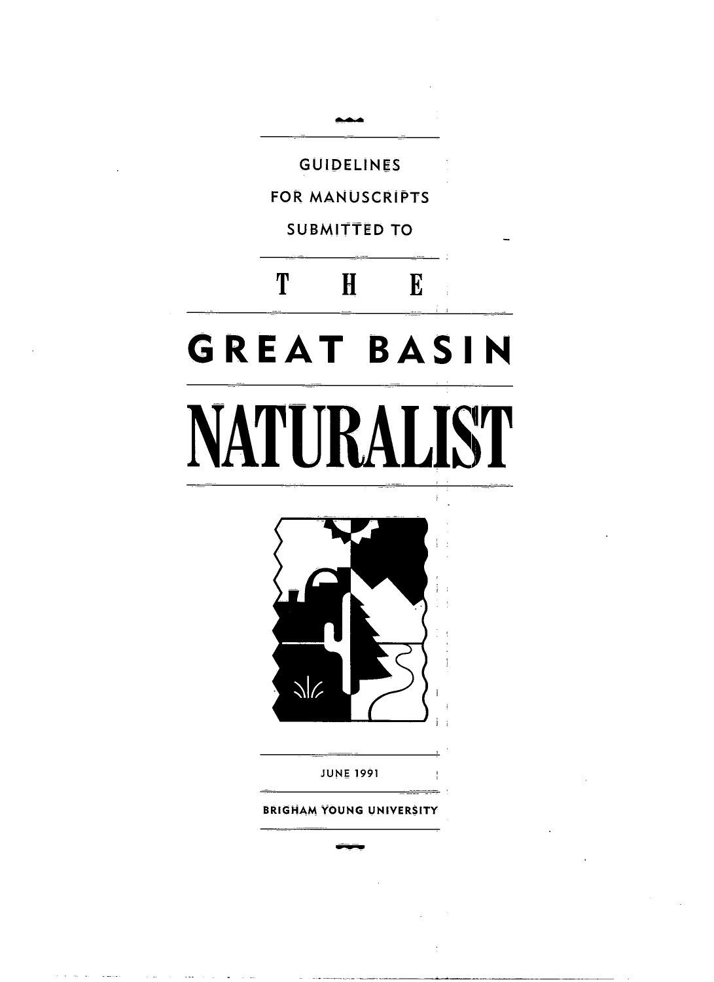

BRIGHAM YOUNG UNIVERSITY

--~-----\_.\_\_. -~~-----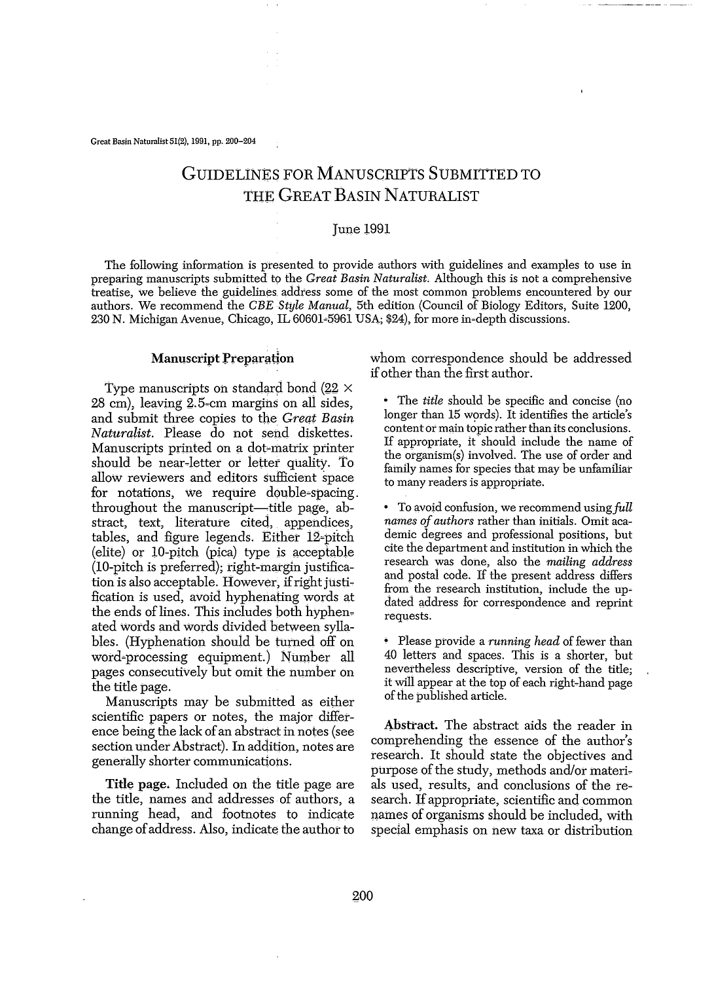Great Basin Naturalist 51(2), 1991, pp. 200-204

## GUIDELINES FOR MANUSCRIPTS SUBMITTED TO THE GREAT BASIN NATURALIST

#### June 1991

The following information is presented to provide authors with guidelines and examples to use in preparing manuscripts submitted to the *Great Basin Naturalist*. Although this is not a comprehensive treatise, we believe the guidelines address some of the most common problems encountered by our authors. We recommend the *CBEStijle Manual,* 5th edition (Council of Biology Editors, Suite 1200, 230 N. Michigan Avenue, Chicago, IL 60601=5961 USA; \$24), for more in~depth discussions.

#### Manuscript Preparation

Type manuscripts on standard bond (22  $\times$ 28 cm), leaVing 2.5~cm margins on all Sides, and submit three copies to the *Great Basin Naturalist.* Please do not send diskettes. Manuscripts printed on a dot-matrix printer should be near-letter or letter quality. To allow reviewers and editors sufficient space for notations, We require double~spacing. throughout the manuscript—title page, abstract, text, literature cited, appendices, tables, and figure legends. Either 12=pitch  $\text{(elite)}$  or 10-pitch (pica) type is acceptable (la-pitch is preferred); right-margin justification is also acceptable. However, if right justification is used, avoid hyphenating words at the ends of lines. This includes both hyphenated words and words divided between syllables. (Hyphenation should be turned off on word=processing equipment.) Number all pages consecutively but omit the number on the title page.

Manuscripts may be submitted as either scientific papers or notes, the major difference being the lack of an abstract in notes (see section under Abstract). In addition, notes are generally shorter communications.

Title page. Included on the title page are the title, names and addresses of authors, a running head, and footnotes to indicate change ofaddress. Also, indicate the author to

whom correspondence should be addressed ifother than the first author.

• The *title* should be specific and concise (no longer than 15 words). It identifies the article's content or main topic rather thanits conclusions. If appropriate, it should include the name of the organism(s) involved. The use of order and fainily names for species that may be unfamiliar to many readers is appropriate.

• To avoid confusion, we recommend using full *names* of *authors* rather than initials. Omit academic degrees and professional positions, but cite the department and institution in which the research was done, also the *mailing address* and postal code. If the present address differs from the research institution, include the updated address for correspondence and reprint requests.

Please provide a *running head* of fewer than 40 letters and spaces. This is a shorter, but nevettheless descriptive, version of the title; it will appear at the top of each right-hand page of the published article.

Abstract. The abstract aids the reader in comprehending the essence of the author's research. It should state the objectives and purpose of the study, methods and/or materials used, results, and conclusions of the re~ search. If appropriate, scientific and common names of organisms should be included, with special emphasis on new taxa or distribution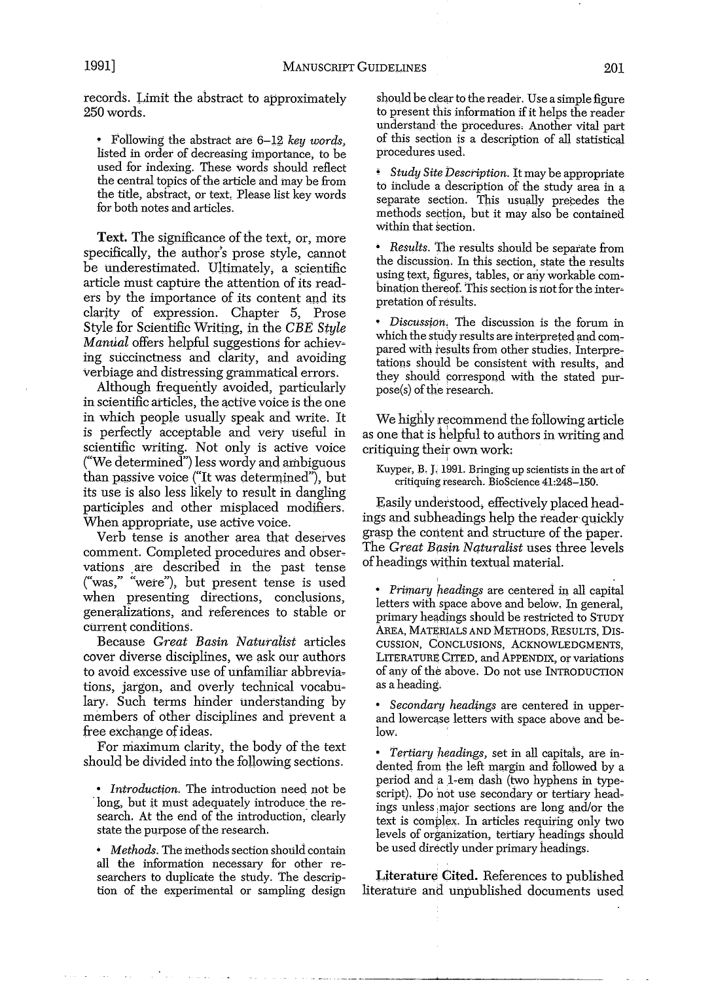records. Limit the abstract to approximately 250 words.

• Following the abstract are 6–12 *key words*, listed in order of decreasing importance, to be used for indexing. These words should reflect the central topics of the article and may be from the title, abstract, or text, Please list key words for both notes and articles.

Text. The significance of the text, or, more specifically, the author's prose style, cannot be underestimated. Ultimately, a scientific article must capture the attention of its readers by the importance of its content and its clarity of expression. Chapter 5, Prose Style for Scientific Writing, in the CBE Style *Manual* offers helpful suggestions for achieving succinctness and clarity, and avoiding verbiage and distressing grammatical errors.

Although frequently avoided, particularly in scientific articles, the active voice is the one in which people usually speak and write. It is perfectly acceptable and very useful in scientific writing. Not only is active voice ("We determined") less wordy and ambiguous than passive voice ("It was determined"), but its use is also less likely to result in dangling participles and other misplaced modifiers. When appropriate, use active voice.

Verb tense is another area that deserves comment. Completed procedures and observations are described in the past tense ("was," "were"), but present tense is used when presenting directions, conclusions, generalizations, and references to stable or current conditions.

Because *Great Basin Naturalist* articles cover diverse disciplines, we ask our authors to avoid excessive use of unfamiliar abbreviations, jargon, and overly technical vocabu~ lary. Such terms hinder understanding by members of other disciplines and prevent a free exchange of ideas.

For maximum clarity, the body of the text should be divided into the following sections.

• *Introduction*. The introduction need not be long, but it must adequately introduce the research. At the end of the introduction, clearly state the purpose of the research.

*• Methods.* The methods section should contain all the information necessary for other researchers to duplicate the study. The description of the experimental or sampling design should be clear to the reader. Use a simple figure to present this information if it helps the reader understand the procedures. Another vital part of this section is a description of alI statistical procedures used. .

*Study Site Description.* It may be appropriate to include a description of the study area in a separate section. This usually precedes the methods section, but it may also be contained within that section.

*• Results.* The results should be separate from the discussion. In this section, state the results using text, figures, tables, or any workable combination thereof. This section is not for the interpretation of results.

*• Discussion.* The discussion is the forum in which the study results are interpreted and compared with results from other studies. Interpre~ tations should be consistent with results, and they should correspond with the stated purpose(s) of the research.

We highly recommend the following article as one that is helpful to authors in writing and critiquing their own work:

Kuyper, B, 1, 1991. Bringing up scientists in the art of critiquing research. BioScience 41:248-150.

Easily understood; effectively placed headings and subheadings help the reader quickly grasp the content and structure of the paper. The *Great Basin Naturalist* uses three levels ofheadings within textual material.

I

• *Primary headings* are centered in all capital letters with space above and below. In general, primary headings should be restricted to STUDY AREA, MATERIALS AND METHODS, RESULTS, DIS-CUSSION, CONCLUSIONS, ACKNOWLEDGMENTS, LITERATURE CITED, and APPENDIX, or variations of any of the above. Do not use INTRODUCTION as a heading.

*• Secondary headings* are centered in upperand lowercase letters with space above and below.

*• Tertiary headings,* set in all capitals, are indented from the left margin and followed by a period and a 1-em dash (two hyphens in typescript). Do not use secondary or tertiary headings unless major sections are long and/or the text is complex. In articles requiring only two levels of organization, tertiary headings should be used directly under primary headings.

Literature Cited. References to published literature and unpublished documents used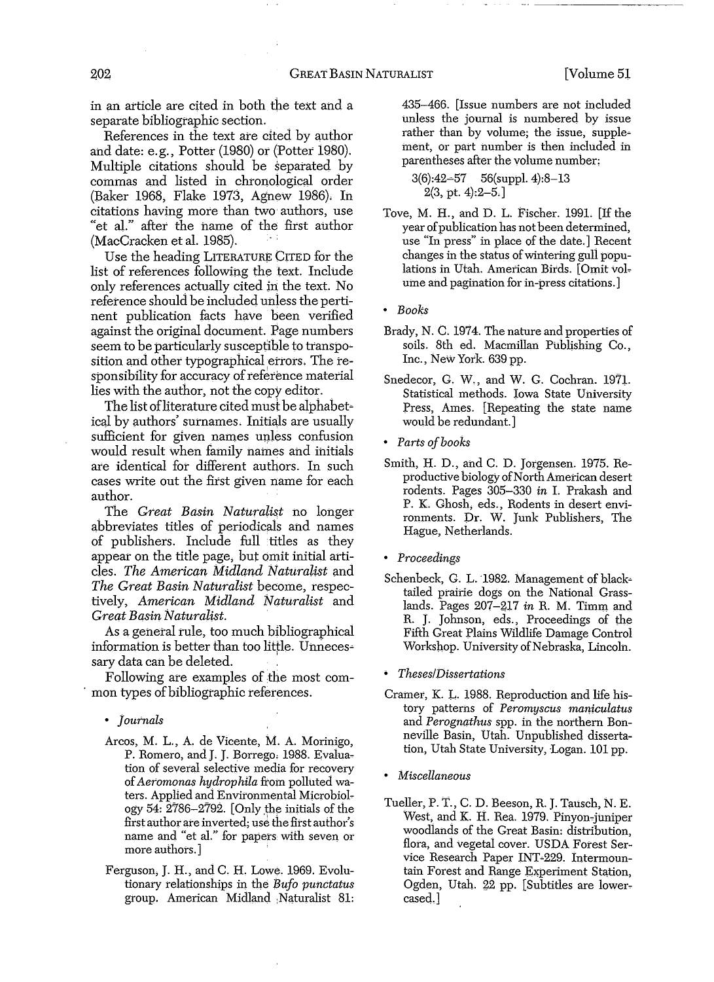in an article are cited in both the text and a separate bibliographic section.

References in the text are cited by author and date: e.g., Potter (1980) or (Potter 1980). Multiple citations should be separated by commas and listed in chronological order (Baker 1968, Flake 1973, Agnew 1986), In citations having more than two authors, use "et al." after the name of the first author (MacCracken et al. 1985).

Use the heading LITERATURE CITED for the list of references following the text. Include only references actually cited in the text. No reference should be included unless the pertinent publication facts have been verified against the original document. Page numbers seem to be particularly susceptible to transpo~ sition and other typographical errors. The responsibility for accuracy of reference material lies with the author, not the copy editor.

The list of literature cited must be alphabeticaJ by authors' surnames. Initials are usually sufficient for given names unless confusion would result when family names and initials are identical for different authors. In such cases write out the first given name for each author.

The *Great Basin Naturalist* no longer abbreviates titles of periodicals and names of publishers. Include full titles as they appear on the title page, but omit initial articles. *The American Midland Naturalist* and *The Great Basin Naturalist* become, respectively, *American Midland Naturalist* and *Great Basin Naturalist.*

As a general rule, too much bibliographical information is better than too little. Unnecessary data can be deleted.

Following are examples of the most com mon types of bibliographic references.

*• Journals*

- Arcos, M. L., A. de Vicente, M. A. Morinigo, P. Romero, and J. J. Borrego, 1988. Evaluation of several selective media for recovery of*Aeromonas hydrophila* from polluted waters. Applied and Environmental Microbiology 54:  $2786 - 2792$ . [Only the initials of the first author ate inverted; use the first author's name and "et al." for papers with seven or more authors.]
- Ferguson, J. H., and C. H. Lowe. 1969. Evolutionary relationships in the *I3ufo punctatus* group. American Midland ;Naturalist 81:

435-466. [Issue numbers are not included unless the journal is numbered by issue rather than by volume; the issue, supplement, or part number is then included in parentheses after the volume number:

3(6):42~57 56(suppl. 4):8-13 2(3, pt. 4):2-5,]

Tove, M. H., and D. L. Fischer. 1991. [If the year of publication has not been determined, use "In press" in place of the date.] Recent changes in the status ofwintering gull populations in Utah. American Birds. [Omit volume and pagination for in-press citations.]

*• Books*

- Brady, N. C. 1974. The nature and properties of soils. 8th ed. Macmillan Publishing Co., Inc., New York. 639 pp.
- Snedecor, G. W., and W. G. Cochran. 1971. Statistical methods. Iowa State University Press, Ames. [Repeating the state name would be redundant.]
- *• Parts ofbooks*
- Smith, H. D., and C. D. Jorgensen. 1975. Reproductive biology of North American desert rodents. Pages 305~330 *in* 1. Prakash and P. K. Ghosh, eds., Rodents in desert enviromnents. Dr. W. Junk Publishers, The Hague, Netherlands.
- *• Proceedings*
- Schenbeck, G. L. 1982. Management of blacktailed prairie dogs on the National Grasslands. Pages 207-217 *in* R. M. Timm and R. J. Johnson, eds., Proceedings of the Fifth Great plains Wildlife Damage Control Workshop. University of Nebraska, Lincoln.

*• TheseslDissertations*

- Cramer, K. L. 1988. Reproduction and life history patterns of *Peromyscus maniculatus* and *Perognathus* spp. in the northern Bonneville Basin, Utah. Unpublished dissertation, Utah State University, Logan. 101 pp.
- *• Miscellaneous*
- Tueller, P. T., C. D. Beeson, R. J. Tausch, N. E. West, and K. H. Rea. 1979. Pinyon-juniper woodlands of the Great Basin: distribution, flora, and vegetal cover. USDA Forest Service Research Paper INT~229. Intermountain Forest and Range Experiment Station, Ogden, Utah. 22 pp. [Subtitles are lowercased.]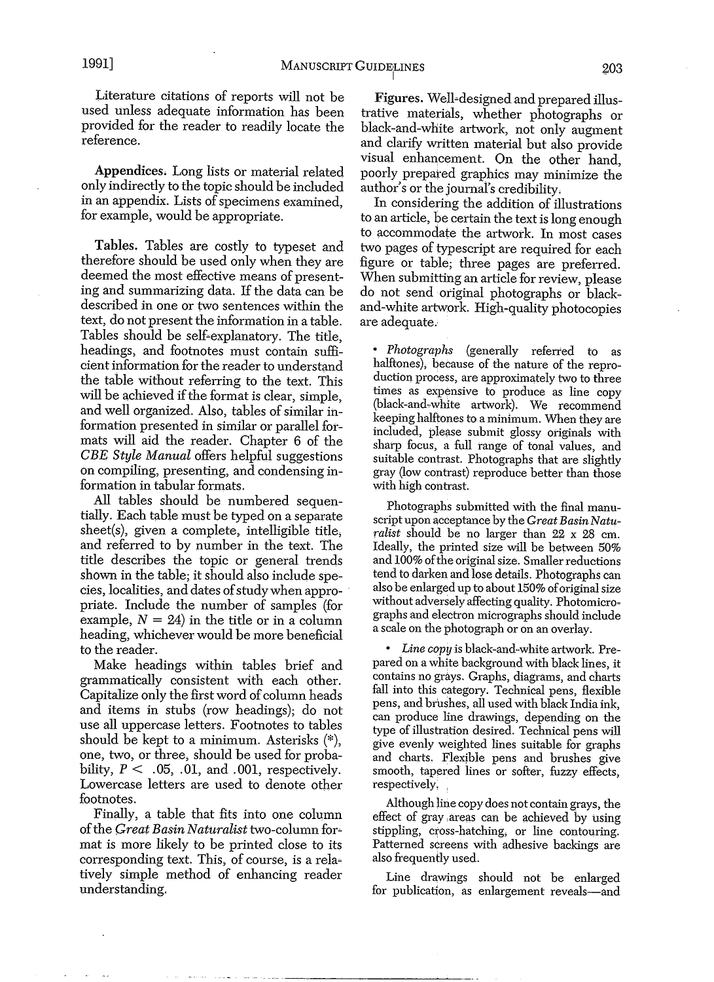Literature citations of reports will not be used unless adequate information has been provided for the reader to readily locate the reference.

Appendices. Long lists or material related only indirectly to the topic should be included in an appendix. Lists of specimens examined, for example, would be appropriate.

Tables. Tables are costly to typeset and therefore should be used only when they are deemed the most effective means of presenting and summarizing data. If the data can be described in one or two sentences within the text, do not present the information in a table. Tables should be self-explanatory. The title, headings, and footnotes must contain sufficient information for the reader to understand the table without referring to the text. This will be achieved if the format is clear, simple, and well organized. Also, tables of similar information presented in similar or parallel formats will aid the reader. Chapter 6 of the *eBE Style Manual* offers helpful suggestions on compiling, presenting, and condensing information in tabular formats.

All tables should be numbered sequentially. Each table must be typed on a separate sheet(s), given a complete, intelligible title; and referred to by number in the text. The title describes the topic or general trends shown in the table; it should also include species, localities, and dates of study when appropriate. Include the number of samples (for example,  $N = 24$ ) in the title or in a column heading, whichever would be more beneficial to the reader.

Make headings within tables brief and grammatically consistent with each other. Capitalize only the first word of column heads and items in stubs (row headings); do not use all uppercase letters. Footnotes to tables should be kept to a minimum. Asterisks (\*), one, two, or three, should be used for probability,  $P \leq .05, .01,$  and  $.001$ , respectively. Lowercase letters are used to denote other footnotes.

Finally, a table that fits into one column ofthe *Great Basin Naturalist* two-column for~ mat is more likely to be printed close to its corresponding text. This, of course, is a rela~ tively simple method of enhancing reader understanding.

Figures. Well-designed and prepared illustrative materials, whether photographs or black-and-white artwork, not only augment and clarify written material but also provide visual enhancement. On the other hand, poorly prepared graphics may minimize the author's or the journal's credibility.

In considering the addition of illustrations to an article, be certain the text is long enough to accommodate the artwork. In most cases two pages of typescript are required for each figure or table; three pages are preferred. When submitting an article for review, please do not send original photographs or blackand-white artwork. High-quality photocopies are adequate.

*• Photographs* (generally referred to as halftones); because of the nature of the reproduction process, are approximately two to three times as expensive to produce as line copy (black-and-white artwork). We recommend keeping halftones to a minimum. When they are included, please submit glossy originals with sharp focus, a full range of tonal values, and suitable contrast. Photographs that are slightly gray (low contrast) reproduce better than those with high contrast.

Photographs submitted with the final manuscript upon acceptance by the *Great Basin Naturalist* should be no larger than 22 x 28 em. Ideally, the printed size will be between 50% and 100% of the original size. Smaller reductions tend to darken and lose details. Photographs can also be enlarged up to about 150% oforiginal size without adversely affecting quality. Photomicrographs and electron micrographs should include a scale on the photograph or on an overlay.

*• Line copy* is black-and-white artwork. Prepared on a white background with black lines, it contains no grays. Graphs, diagrams, and charts fall into this category. Technical pens, flexible pens, and brushes, all used with black India ink, can produce line drawings, depending on the type of illustration desired. Technical pens will give evenly weighted lines suitable for graphs and charts. Flexible pens and brushes give smooth, tapered lines or softer, fuzzy effects, respectively,

Although line copy does not contain grays, the effect of gray areas can be achieved by using stippling, cross-hatching, or line contouring. Patterned screens with adhesive backings are also frequently used.

Line drawings should not be enlarged for publication, as enlargement reveals-and